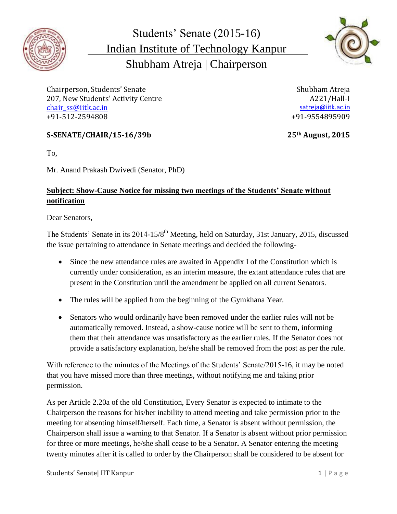

Students' Senate (2015-16) Indian Institute of Technology Kanpur Shubham Atreja | Chairperson



Chairperson, Students' Senate Shubham Atreja 207, New Students' Activity Centre A221/Hall-I [chair\\_ss@iitk.ac.in](mailto:chair_ss@iitk.ac.in) [satreja@iitk.ac.in](mailto:satreja@iitk.ac.in) satreja@iitk.ac.in satreja@iitk.ac.in +91-512-2594808 +91-9554895909

## **S-SENATE/CHAIR/15-16/39b 25th August, 2015**

To,

Mr. Anand Prakash Dwivedi (Senator, PhD)

## **Subject: Show-Cause Notice for missing two meetings of the Students' Senate without notification**

Dear Senators,

The Students' Senate in its 2014-15/8<sup>th</sup> Meeting, held on Saturday, 31st January, 2015, discussed the issue pertaining to attendance in Senate meetings and decided the following-

- Since the new attendance rules are awaited in Appendix I of the Constitution which is currently under consideration, as an interim measure, the extant attendance rules that are present in the Constitution until the amendment be applied on all current Senators.
- The rules will be applied from the beginning of the Gymkhana Year.
- Senators who would ordinarily have been removed under the earlier rules will not be automatically removed. Instead, a show-cause notice will be sent to them, informing them that their attendance was unsatisfactory as the earlier rules. If the Senator does not provide a satisfactory explanation, he/she shall be removed from the post as per the rule.

With reference to the minutes of the Meetings of the Students' Senate/2015-16, it may be noted that you have missed more than three meetings, without notifying me and taking prior permission.

As per Article 2.20a of the old Constitution, Every Senator is expected to intimate to the Chairperson the reasons for his/her inability to attend meeting and take permission prior to the meeting for absenting himself/herself. Each time, a Senator is absent without permission, the Chairperson shall issue a warning to that Senator. If a Senator is absent without prior permission for three or more meetings, he/she shall cease to be a Senator**.** A Senator entering the meeting twenty minutes after it is called to order by the Chairperson shall be considered to be absent for